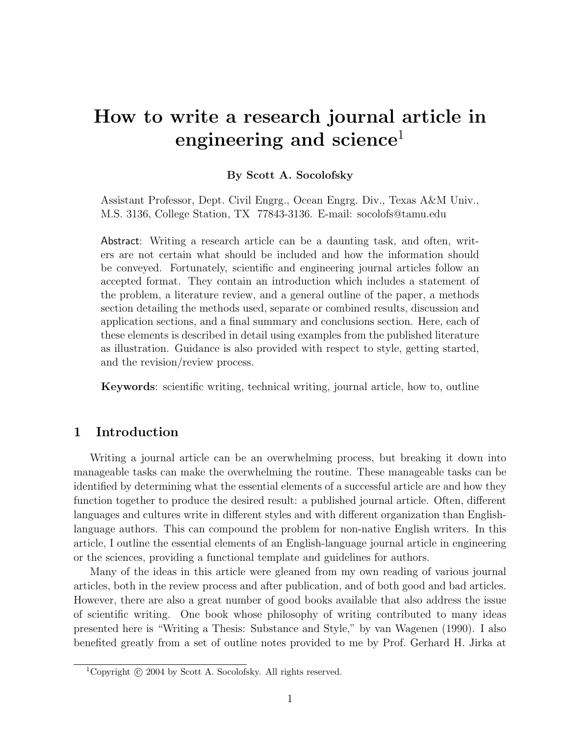# How to write a research journal article in engineering and science<sup>1</sup>

## By Scott A. Socolofsky

Assistant Professor, Dept. Civil Engrg., Ocean Engrg. Div., Texas A&M Univ., M.S. 3136, College Station, TX 77843-3136. E-mail: socolofs@tamu.edu

Abstract: Writing a research article can be a daunting task, and often, writers are not certain what should be included and how the information should be conveyed. Fortunately, scientific and engineering journal articles follow an accepted format. They contain an introduction which includes a statement of the problem, a literature review, and a general outline of the paper, a methods section detailing the methods used, separate or combined results, discussion and application sections, and a final summary and conclusions section. Here, each of these elements is described in detail using examples from the published literature as illustration. Guidance is also provided with respect to style, getting started, and the revision/review process.

Keywords: scientific writing, technical writing, journal article, how to, outline

# 1 Introduction

Writing a journal article can be an overwhelming process, but breaking it down into manageable tasks can make the overwhelming the routine. These manageable tasks can be identified by determining what the essential elements of a successful article are and how they function together to produce the desired result: a published journal article. Often, different languages and cultures write in different styles and with different organization than Englishlanguage authors. This can compound the problem for non-native English writers. In this article, I outline the essential elements of an English-language journal article in engineering or the sciences, providing a functional template and guidelines for authors.

Many of the ideas in this article were gleaned from my own reading of various journal articles, both in the review process and after publication, and of both good and bad articles. However, there are also a great number of good books available that also address the issue of scientific writing. One book whose philosophy of writing contributed to many ideas presented here is "Writing a Thesis: Substance and Style," by van Wagenen (1990). I also benefited greatly from a set of outline notes provided to me by Prof. Gerhard H. Jirka at

<sup>&</sup>lt;sup>1</sup>Copyright  $\odot$  2004 by Scott A. Socolofsky. All rights reserved.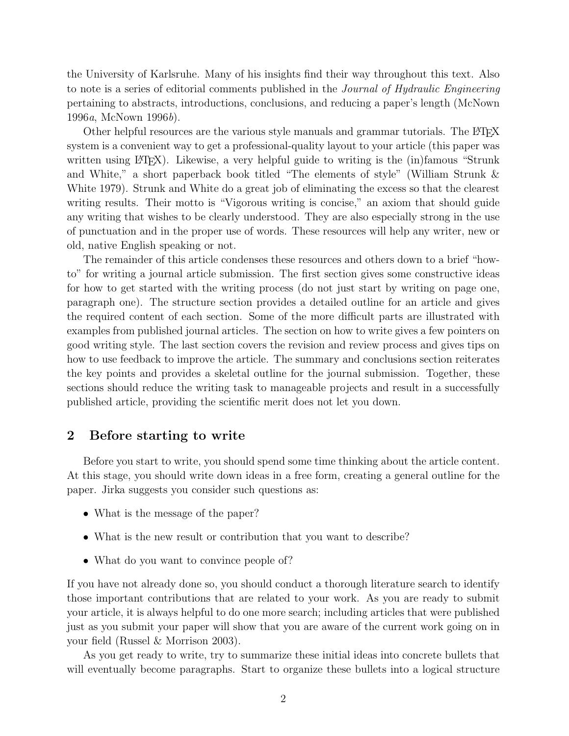the University of Karlsruhe. Many of his insights find their way throughout this text. Also to note is a series of editorial comments published in the Journal of Hydraulic Engineering pertaining to abstracts, introductions, conclusions, and reducing a paper's length (McNown 1996a, McNown 1996b).

Other helpful resources are the various style manuals and grammar tutorials. The LATEX system is a convenient way to get a professional-quality layout to your article (this paper was written using  $\Delta F$ <sub>E</sub>X). Likewise, a very helpful guide to writing is the (in)famous "Strunk and White," a short paperback book titled "The elements of style" (William Strunk & White 1979). Strunk and White do a great job of eliminating the excess so that the clearest writing results. Their motto is "Vigorous writing is concise," an axiom that should guide any writing that wishes to be clearly understood. They are also especially strong in the use of punctuation and in the proper use of words. These resources will help any writer, new or old, native English speaking or not.

The remainder of this article condenses these resources and others down to a brief "howto" for writing a journal article submission. The first section gives some constructive ideas for how to get started with the writing process (do not just start by writing on page one, paragraph one). The structure section provides a detailed outline for an article and gives the required content of each section. Some of the more difficult parts are illustrated with examples from published journal articles. The section on how to write gives a few pointers on good writing style. The last section covers the revision and review process and gives tips on how to use feedback to improve the article. The summary and conclusions section reiterates the key points and provides a skeletal outline for the journal submission. Together, these sections should reduce the writing task to manageable projects and result in a successfully published article, providing the scientific merit does not let you down.

## 2 Before starting to write

Before you start to write, you should spend some time thinking about the article content. At this stage, you should write down ideas in a free form, creating a general outline for the paper. Jirka suggests you consider such questions as:

- What is the message of the paper?
- What is the new result or contribution that you want to describe?
- What do you want to convince people of?

If you have not already done so, you should conduct a thorough literature search to identify those important contributions that are related to your work. As you are ready to submit your article, it is always helpful to do one more search; including articles that were published just as you submit your paper will show that you are aware of the current work going on in your field (Russel & Morrison 2003).

As you get ready to write, try to summarize these initial ideas into concrete bullets that will eventually become paragraphs. Start to organize these bullets into a logical structure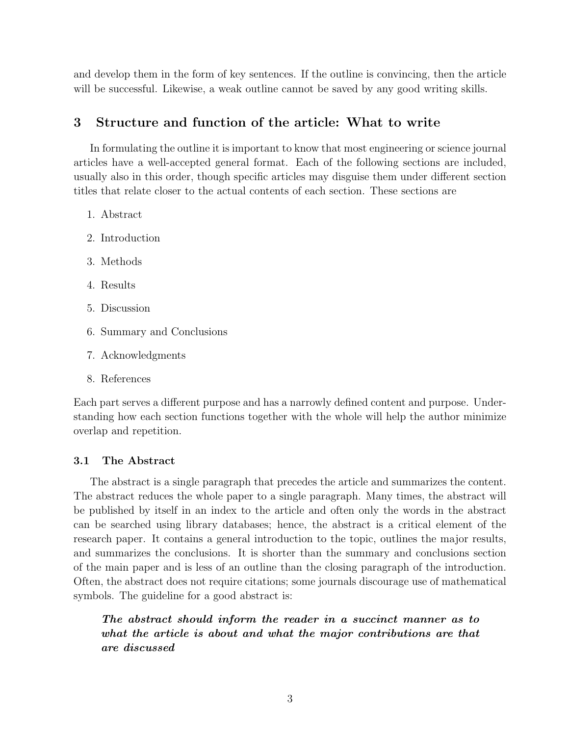and develop them in the form of key sentences. If the outline is convincing, then the article will be successful. Likewise, a weak outline cannot be saved by any good writing skills.

# 3 Structure and function of the article: What to write

In formulating the outline it is important to know that most engineering or science journal articles have a well-accepted general format. Each of the following sections are included, usually also in this order, though specific articles may disguise them under different section titles that relate closer to the actual contents of each section. These sections are

- 1. Abstract
- 2. Introduction
- 3. Methods
- 4. Results
- 5. Discussion
- 6. Summary and Conclusions
- 7. Acknowledgments
- 8. References

Each part serves a different purpose and has a narrowly defined content and purpose. Understanding how each section functions together with the whole will help the author minimize overlap and repetition.

#### 3.1 The Abstract

The abstract is a single paragraph that precedes the article and summarizes the content. The abstract reduces the whole paper to a single paragraph. Many times, the abstract will be published by itself in an index to the article and often only the words in the abstract can be searched using library databases; hence, the abstract is a critical element of the research paper. It contains a general introduction to the topic, outlines the major results, and summarizes the conclusions. It is shorter than the summary and conclusions section of the main paper and is less of an outline than the closing paragraph of the introduction. Often, the abstract does not require citations; some journals discourage use of mathematical symbols. The guideline for a good abstract is:

The abstract should inform the reader in a succinct manner as to what the article is about and what the major contributions are that are discussed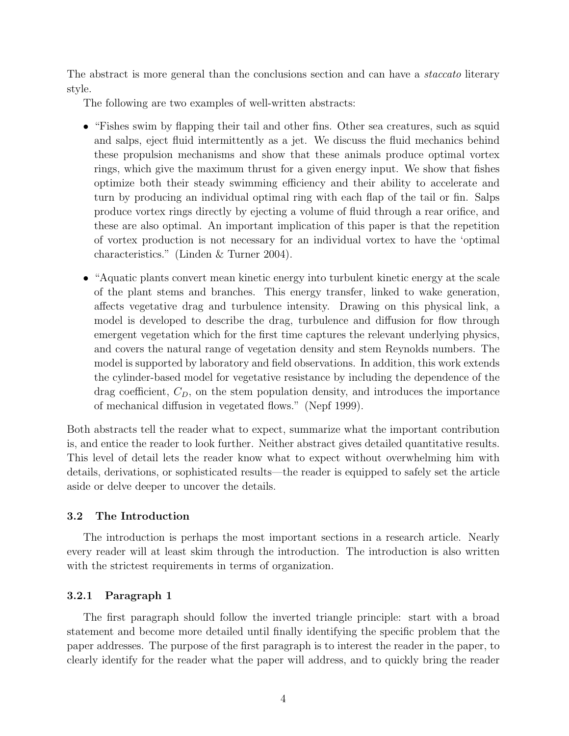The abstract is more general than the conclusions section and can have a *staccato* literary style.

The following are two examples of well-written abstracts:

- "Fishes swim by flapping their tail and other fins. Other sea creatures, such as squid and salps, eject fluid intermittently as a jet. We discuss the fluid mechanics behind these propulsion mechanisms and show that these animals produce optimal vortex rings, which give the maximum thrust for a given energy input. We show that fishes optimize both their steady swimming efficiency and their ability to accelerate and turn by producing an individual optimal ring with each flap of the tail or fin. Salps produce vortex rings directly by ejecting a volume of fluid through a rear orifice, and these are also optimal. An important implication of this paper is that the repetition of vortex production is not necessary for an individual vortex to have the 'optimal characteristics." (Linden & Turner 2004).
- "Aquatic plants convert mean kinetic energy into turbulent kinetic energy at the scale of the plant stems and branches. This energy transfer, linked to wake generation, affects vegetative drag and turbulence intensity. Drawing on this physical link, a model is developed to describe the drag, turbulence and diffusion for flow through emergent vegetation which for the first time captures the relevant underlying physics, and covers the natural range of vegetation density and stem Reynolds numbers. The model is supported by laboratory and field observations. In addition, this work extends the cylinder-based model for vegetative resistance by including the dependence of the drag coefficient,  $C_D$ , on the stem population density, and introduces the importance of mechanical diffusion in vegetated flows." (Nepf 1999).

Both abstracts tell the reader what to expect, summarize what the important contribution is, and entice the reader to look further. Neither abstract gives detailed quantitative results. This level of detail lets the reader know what to expect without overwhelming him with details, derivations, or sophisticated results—the reader is equipped to safely set the article aside or delve deeper to uncover the details.

#### 3.2 The Introduction

The introduction is perhaps the most important sections in a research article. Nearly every reader will at least skim through the introduction. The introduction is also written with the strictest requirements in terms of organization.

#### 3.2.1 Paragraph 1

The first paragraph should follow the inverted triangle principle: start with a broad statement and become more detailed until finally identifying the specific problem that the paper addresses. The purpose of the first paragraph is to interest the reader in the paper, to clearly identify for the reader what the paper will address, and to quickly bring the reader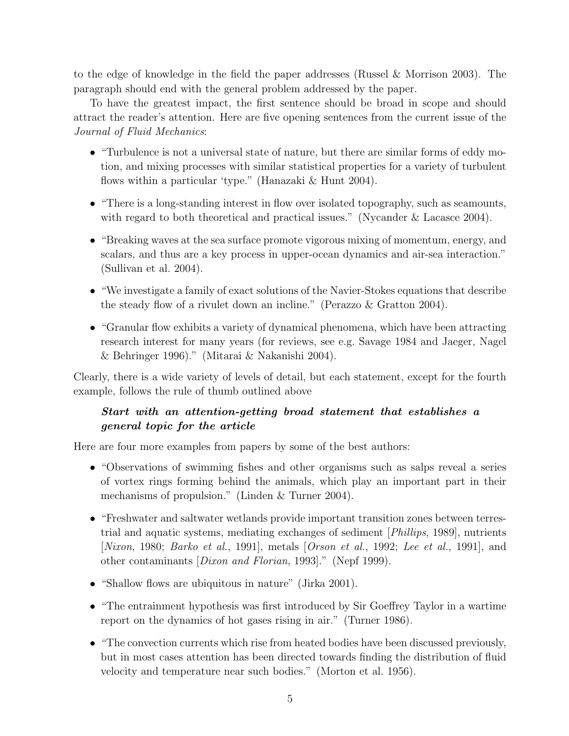to the edge of knowledge in the field the paper addresses (Russel & Morrison 2003). The paragraph should end with the general problem addressed by the paper.

To have the greatest impact, the first sentence should be broad in scope and should attract the reader's attention. Here are five opening sentences from the current issue of the Journal of Fluid Mechanics:

- "Turbulence is not a universal state of nature, but there are similar forms of eddy motion, and mixing processes with similar statistical properties for a variety of turbulent flows within a particular 'type." (Hanazaki & Hunt 2004).
- "There is a long-standing interest in flow over isolated topography, such as seamounts, with regard to both theoretical and practical issues." (Nycander & Lacasce 2004).
- "Breaking waves at the sea surface promote vigorous mixing of momentum, energy, and scalars, and thus are a key process in upper-ocean dynamics and air-sea interaction." (Sullivan et al. 2004).
- "We investigate a family of exact solutions of the Navier-Stokes equations that describe the steady flow of a rivulet down an incline." (Perazzo & Gratton 2004).
- "Granular flow exhibits a variety of dynamical phenomena, which have been attracting research interest for many years (for reviews, see e.g. Savage 1984 and Jaeger, Nagel & Behringer 1996)." (Mitarai & Nakanishi 2004).

Clearly, there is a wide variety of levels of detail, but each statement, except for the fourth example, follows the rule of thumb outlined above

# Start with an attention-getting broad statement that establishes a general topic for the article

Here are four more examples from papers by some of the best authors:

- "Observations of swimming fishes and other organisms such as salps reveal a series of vortex rings forming behind the animals, which play an important part in their mechanisms of propulsion." (Linden & Turner 2004).
- "Freshwater and saltwater wetlands provide important transition zones between terrestrial and aquatic systems, mediating exchanges of sediment [Phillips, 1989], nutrients [Nixon, 1980; Barko et al., 1991], metals [Orson et al., 1992; Lee et al., 1991], and other contaminants [Dixon and Florian, 1993]." (Nepf 1999).
- "Shallow flows are ubiquitous in nature" (Jirka 2001).
- "The entrainment hypothesis was first introduced by Sir Goeffrey Taylor in a wartime report on the dynamics of hot gases rising in air." (Turner 1986).
- "The convection currents which rise from heated bodies have been discussed previously, but in most cases attention has been directed towards finding the distribution of fluid velocity and temperature near such bodies." (Morton et al. 1956).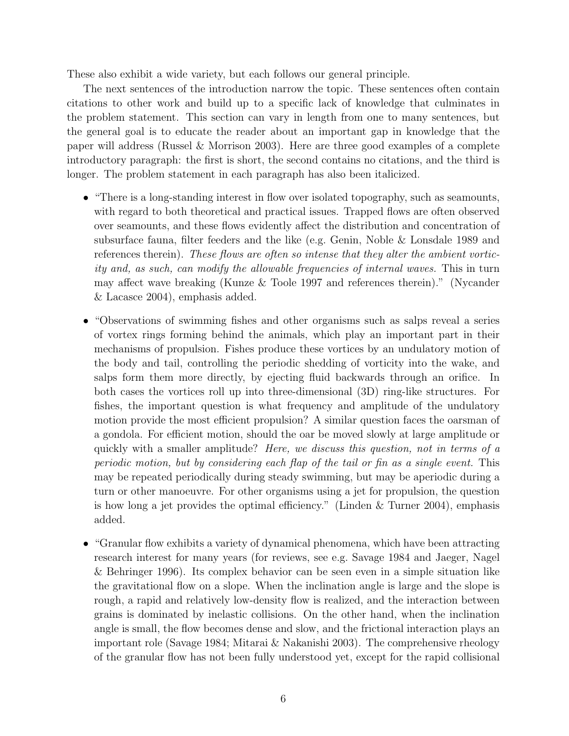These also exhibit a wide variety, but each follows our general principle.

The next sentences of the introduction narrow the topic. These sentences often contain citations to other work and build up to a specific lack of knowledge that culminates in the problem statement. This section can vary in length from one to many sentences, but the general goal is to educate the reader about an important gap in knowledge that the paper will address (Russel & Morrison 2003). Here are three good examples of a complete introductory paragraph: the first is short, the second contains no citations, and the third is longer. The problem statement in each paragraph has also been italicized.

- "There is a long-standing interest in flow over isolated topography, such as seamounts, with regard to both theoretical and practical issues. Trapped flows are often observed over seamounts, and these flows evidently affect the distribution and concentration of subsurface fauna, filter feeders and the like (e.g. Genin, Noble & Lonsdale 1989 and references therein). These flows are often so intense that they alter the ambient vorticity and, as such, can modify the allowable frequencies of internal waves. This in turn may affect wave breaking (Kunze & Toole 1997 and references therein)." (Nycander & Lacasce 2004), emphasis added.
- "Observations of swimming fishes and other organisms such as salps reveal a series of vortex rings forming behind the animals, which play an important part in their mechanisms of propulsion. Fishes produce these vortices by an undulatory motion of the body and tail, controlling the periodic shedding of vorticity into the wake, and salps form them more directly, by ejecting fluid backwards through an orifice. In both cases the vortices roll up into three-dimensional (3D) ring-like structures. For fishes, the important question is what frequency and amplitude of the undulatory motion provide the most efficient propulsion? A similar question faces the oarsman of a gondola. For efficient motion, should the oar be moved slowly at large amplitude or quickly with a smaller amplitude? Here, we discuss this question, not in terms of a periodic motion, but by considering each flap of the tail or fin as a single event. This may be repeated periodically during steady swimming, but may be aperiodic during a turn or other manoeuvre. For other organisms using a jet for propulsion, the question is how long a jet provides the optimal efficiency." (Linden & Turner 2004), emphasis added.
- "Granular flow exhibits a variety of dynamical phenomena, which have been attracting research interest for many years (for reviews, see e.g. Savage 1984 and Jaeger, Nagel & Behringer 1996). Its complex behavior can be seen even in a simple situation like the gravitational flow on a slope. When the inclination angle is large and the slope is rough, a rapid and relatively low-density flow is realized, and the interaction between grains is dominated by inelastic collisions. On the other hand, when the inclination angle is small, the flow becomes dense and slow, and the frictional interaction plays an important role (Savage 1984; Mitarai & Nakanishi 2003). The comprehensive rheology of the granular flow has not been fully understood yet, except for the rapid collisional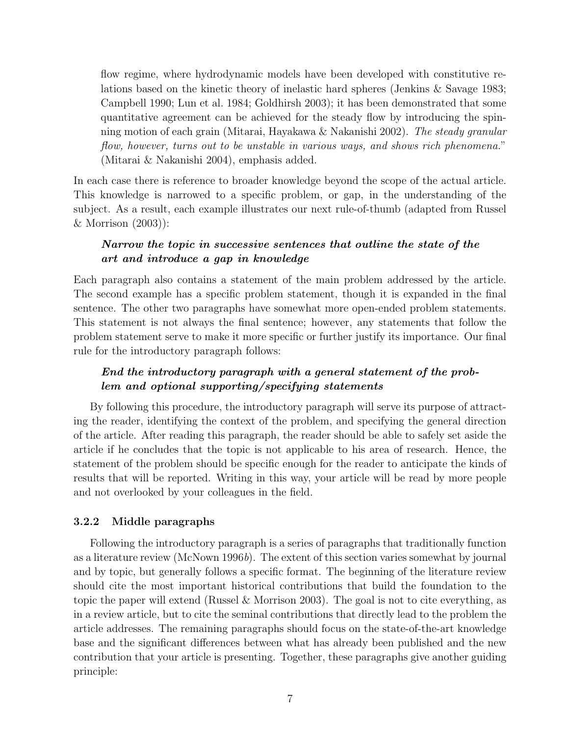flow regime, where hydrodynamic models have been developed with constitutive relations based on the kinetic theory of inelastic hard spheres (Jenkins & Savage 1983; Campbell 1990; Lun et al. 1984; Goldhirsh 2003); it has been demonstrated that some quantitative agreement can be achieved for the steady flow by introducing the spinning motion of each grain (Mitarai, Hayakawa & Nakanishi 2002). The steady granular flow, however, turns out to be unstable in various ways, and shows rich phenomena." (Mitarai & Nakanishi 2004), emphasis added.

In each case there is reference to broader knowledge beyond the scope of the actual article. This knowledge is narrowed to a specific problem, or gap, in the understanding of the subject. As a result, each example illustrates our next rule-of-thumb (adapted from Russel & Morrison (2003)):

## Narrow the topic in successive sentences that outline the state of the art and introduce a gap in knowledge

Each paragraph also contains a statement of the main problem addressed by the article. The second example has a specific problem statement, though it is expanded in the final sentence. The other two paragraphs have somewhat more open-ended problem statements. This statement is not always the final sentence; however, any statements that follow the problem statement serve to make it more specific or further justify its importance. Our final rule for the introductory paragraph follows:

# End the introductory paragraph with a general statement of the problem and optional supporting/specifying statements

By following this procedure, the introductory paragraph will serve its purpose of attracting the reader, identifying the context of the problem, and specifying the general direction of the article. After reading this paragraph, the reader should be able to safely set aside the article if he concludes that the topic is not applicable to his area of research. Hence, the statement of the problem should be specific enough for the reader to anticipate the kinds of results that will be reported. Writing in this way, your article will be read by more people and not overlooked by your colleagues in the field.

## 3.2.2 Middle paragraphs

Following the introductory paragraph is a series of paragraphs that traditionally function as a literature review (McNown 1996b). The extent of this section varies somewhat by journal and by topic, but generally follows a specific format. The beginning of the literature review should cite the most important historical contributions that build the foundation to the topic the paper will extend (Russel & Morrison 2003). The goal is not to cite everything, as in a review article, but to cite the seminal contributions that directly lead to the problem the article addresses. The remaining paragraphs should focus on the state-of-the-art knowledge base and the significant differences between what has already been published and the new contribution that your article is presenting. Together, these paragraphs give another guiding principle: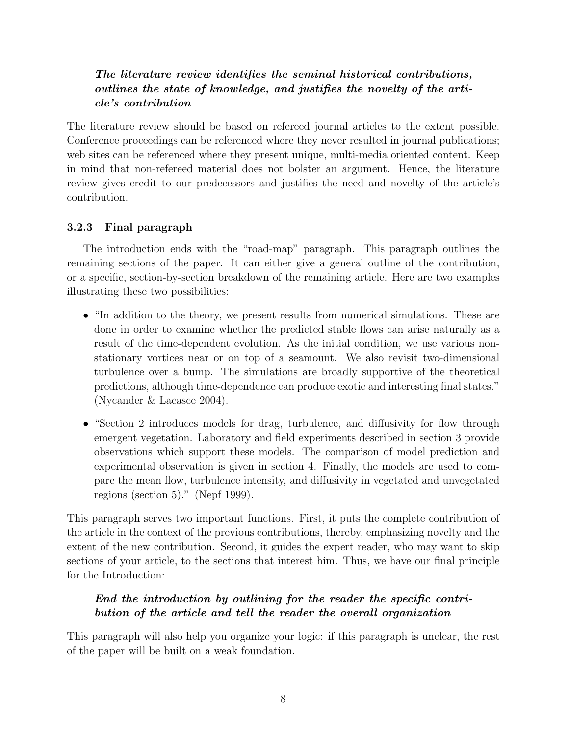# The literature review identifies the seminal historical contributions, outlines the state of knowledge, and justifies the novelty of the article's contribution

The literature review should be based on refereed journal articles to the extent possible. Conference proceedings can be referenced where they never resulted in journal publications; web sites can be referenced where they present unique, multi-media oriented content. Keep in mind that non-refereed material does not bolster an argument. Hence, the literature review gives credit to our predecessors and justifies the need and novelty of the article's contribution.

# 3.2.3 Final paragraph

The introduction ends with the "road-map" paragraph. This paragraph outlines the remaining sections of the paper. It can either give a general outline of the contribution, or a specific, section-by-section breakdown of the remaining article. Here are two examples illustrating these two possibilities:

- "In addition to the theory, we present results from numerical simulations. These are done in order to examine whether the predicted stable flows can arise naturally as a result of the time-dependent evolution. As the initial condition, we use various nonstationary vortices near or on top of a seamount. We also revisit two-dimensional turbulence over a bump. The simulations are broadly supportive of the theoretical predictions, although time-dependence can produce exotic and interesting final states." (Nycander & Lacasce 2004).
- "Section 2 introduces models for drag, turbulence, and diffusivity for flow through emergent vegetation. Laboratory and field experiments described in section 3 provide observations which support these models. The comparison of model prediction and experimental observation is given in section 4. Finally, the models are used to compare the mean flow, turbulence intensity, and diffusivity in vegetated and unvegetated regions (section 5)." (Nepf 1999).

This paragraph serves two important functions. First, it puts the complete contribution of the article in the context of the previous contributions, thereby, emphasizing novelty and the extent of the new contribution. Second, it guides the expert reader, who may want to skip sections of your article, to the sections that interest him. Thus, we have our final principle for the Introduction:

# End the introduction by outlining for the reader the specific contribution of the article and tell the reader the overall organization

This paragraph will also help you organize your logic: if this paragraph is unclear, the rest of the paper will be built on a weak foundation.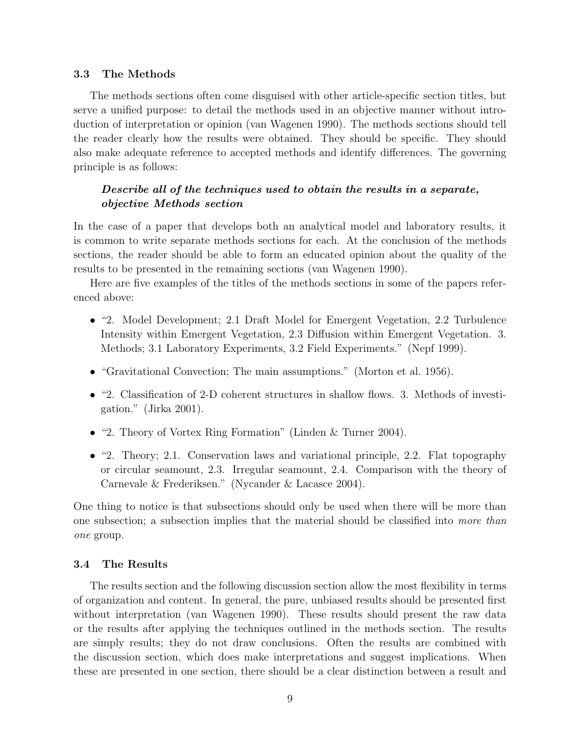#### 3.3 The Methods

The methods sections often come disguised with other article-specific section titles, but serve a unified purpose: to detail the methods used in an objective manner without introduction of interpretation or opinion (van Wagenen 1990). The methods sections should tell the reader clearly how the results were obtained. They should be specific. They should also make adequate reference to accepted methods and identify differences. The governing principle is as follows:

## Describe all of the techniques used to obtain the results in a separate, objective Methods section

In the case of a paper that develops both an analytical model and laboratory results, it is common to write separate methods sections for each. At the conclusion of the methods sections, the reader should be able to form an educated opinion about the quality of the results to be presented in the remaining sections (van Wagenen 1990).

Here are five examples of the titles of the methods sections in some of the papers referenced above:

- "2. Model Development; 2.1 Draft Model for Emergent Vegetation, 2.2 Turbulence Intensity within Emergent Vegetation, 2.3 Diffusion within Emergent Vegetation. 3. Methods; 3.1 Laboratory Experiments, 3.2 Field Experiments." (Nepf 1999).
- "Gravitational Convection; The main assumptions." (Morton et al. 1956).
- "2. Classification of 2-D coherent structures in shallow flows. 3. Methods of investigation." (Jirka 2001).
- "2. Theory of Vortex Ring Formation" (Linden & Turner 2004).
- "2. Theory; 2.1. Conservation laws and variational principle, 2.2. Flat topography or circular seamount, 2.3. Irregular seamount, 2.4. Comparison with the theory of Carnevale & Frederiksen." (Nycander & Lacasce 2004).

One thing to notice is that subsections should only be used when there will be more than one subsection; a subsection implies that the material should be classified into more than one group.

#### 3.4 The Results

The results section and the following discussion section allow the most flexibility in terms of organization and content. In general, the pure, unbiased results should be presented first without interpretation (van Wagenen 1990). These results should present the raw data or the results after applying the techniques outlined in the methods section. The results are simply results; they do not draw conclusions. Often the results are combined with the discussion section, which does make interpretations and suggest implications. When these are presented in one section, there should be a clear distinction between a result and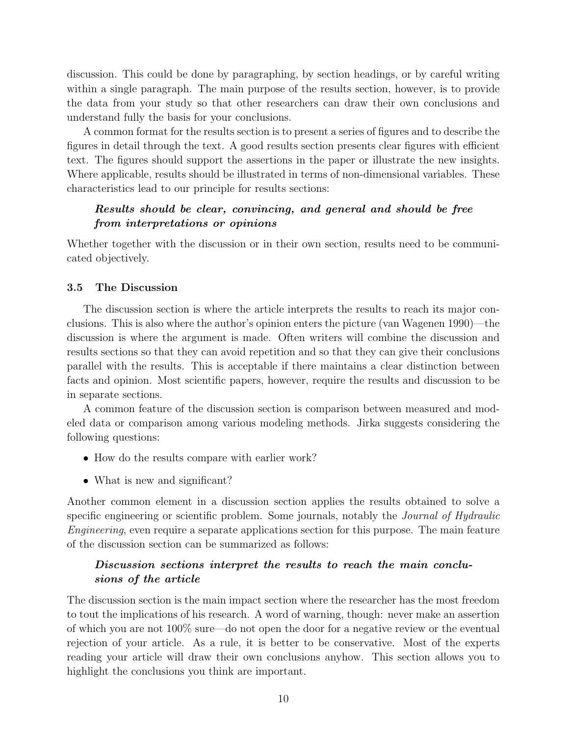discussion. This could be done by paragraphing, by section headings, or by careful writing within a single paragraph. The main purpose of the results section, however, is to provide the data from your study so that other researchers can draw their own conclusions and understand fully the basis for your conclusions.

A common format for the results section is to present a series of figures and to describe the figures in detail through the text. A good results section presents clear figures with efficient text. The figures should support the assertions in the paper or illustrate the new insights. Where applicable, results should be illustrated in terms of non-dimensional variables. These characteristics lead to our principle for results sections:

# Results should be clear, convincing, and general and should be free from interpretations or opinions

Whether together with the discussion or in their own section, results need to be communicated objectively.

#### 3.5 The Discussion

The discussion section is where the article interprets the results to reach its major conclusions. This is also where the author's opinion enters the picture (van Wagenen 1990)—the discussion is where the argument is made. Often writers will combine the discussion and results sections so that they can avoid repetition and so that they can give their conclusions parallel with the results. This is acceptable if there maintains a clear distinction between facts and opinion. Most scientific papers, however, require the results and discussion to be in separate sections.

A common feature of the discussion section is comparison between measured and modeled data or comparison among various modeling methods. Jirka suggests considering the following questions:

- How do the results compare with earlier work?
- What is new and significant?

Another common element in a discussion section applies the results obtained to solve a specific engineering or scientific problem. Some journals, notably the *Journal of Hydraulic* Engineering, even require a separate applications section for this purpose. The main feature of the discussion section can be summarized as follows:

## Discussion sections interpret the results to reach the main conclusions of the article

The discussion section is the main impact section where the researcher has the most freedom to tout the implications of his research. A word of warning, though: never make an assertion of which you are not 100% sure—do not open the door for a negative review or the eventual rejection of your article. As a rule, it is better to be conservative. Most of the experts reading your article will draw their own conclusions anyhow. This section allows you to highlight the conclusions you think are important.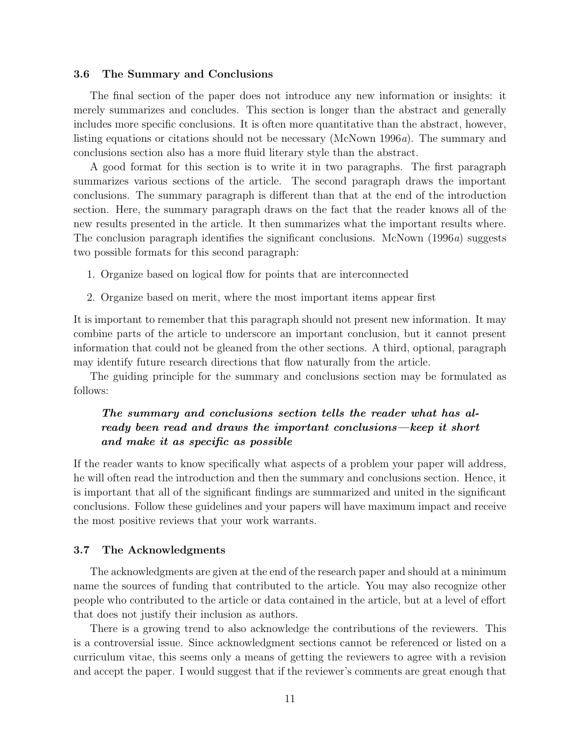#### 3.6 The Summary and Conclusions

The final section of the paper does not introduce any new information or insights: it merely summarizes and concludes. This section is longer than the abstract and generally includes more specific conclusions. It is often more quantitative than the abstract, however, listing equations or citations should not be necessary (McNown 1996a). The summary and conclusions section also has a more fluid literary style than the abstract.

A good format for this section is to write it in two paragraphs. The first paragraph summarizes various sections of the article. The second paragraph draws the important conclusions. The summary paragraph is different than that at the end of the introduction section. Here, the summary paragraph draws on the fact that the reader knows all of the new results presented in the article. It then summarizes what the important results where. The conclusion paragraph identifies the significant conclusions. McNown (1996a) suggests two possible formats for this second paragraph:

- 1. Organize based on logical flow for points that are interconnected
- 2. Organize based on merit, where the most important items appear first

It is important to remember that this paragraph should not present new information. It may combine parts of the article to underscore an important conclusion, but it cannot present information that could not be gleaned from the other sections. A third, optional, paragraph may identify future research directions that flow naturally from the article.

The guiding principle for the summary and conclusions section may be formulated as follows:

# The summary and conclusions section tells the reader what has already been read and draws the important conclusions—keep it short and make it as specific as possible

If the reader wants to know specifically what aspects of a problem your paper will address, he will often read the introduction and then the summary and conclusions section. Hence, it is important that all of the significant findings are summarized and united in the significant conclusions. Follow these guidelines and your papers will have maximum impact and receive the most positive reviews that your work warrants.

#### 3.7 The Acknowledgments

The acknowledgments are given at the end of the research paper and should at a minimum name the sources of funding that contributed to the article. You may also recognize other people who contributed to the article or data contained in the article, but at a level of effort that does not justify their inclusion as authors.

There is a growing trend to also acknowledge the contributions of the reviewers. This is a controversial issue. Since acknowledgment sections cannot be referenced or listed on a curriculum vitae, this seems only a means of getting the reviewers to agree with a revision and accept the paper. I would suggest that if the reviewer's comments are great enough that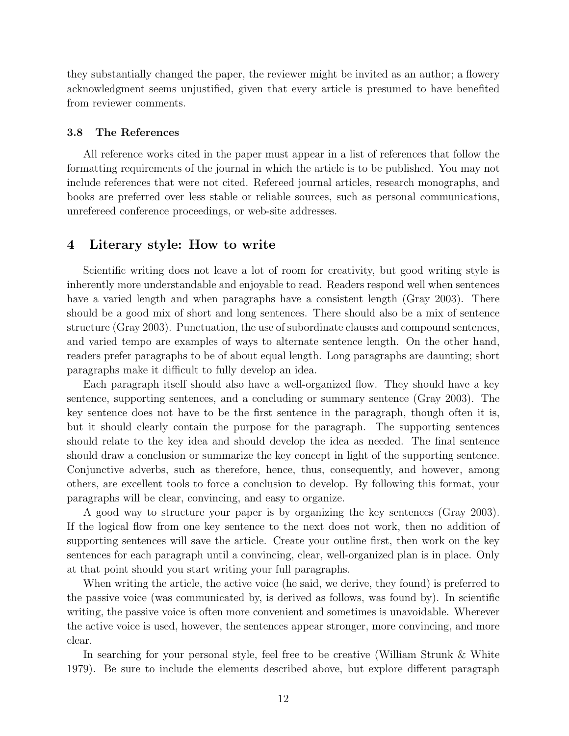they substantially changed the paper, the reviewer might be invited as an author; a flowery acknowledgment seems unjustified, given that every article is presumed to have benefited from reviewer comments.

#### 3.8 The References

All reference works cited in the paper must appear in a list of references that follow the formatting requirements of the journal in which the article is to be published. You may not include references that were not cited. Refereed journal articles, research monographs, and books are preferred over less stable or reliable sources, such as personal communications, unrefereed conference proceedings, or web-site addresses.

## 4 Literary style: How to write

Scientific writing does not leave a lot of room for creativity, but good writing style is inherently more understandable and enjoyable to read. Readers respond well when sentences have a varied length and when paragraphs have a consistent length (Gray 2003). There should be a good mix of short and long sentences. There should also be a mix of sentence structure (Gray 2003). Punctuation, the use of subordinate clauses and compound sentences, and varied tempo are examples of ways to alternate sentence length. On the other hand, readers prefer paragraphs to be of about equal length. Long paragraphs are daunting; short paragraphs make it difficult to fully develop an idea.

Each paragraph itself should also have a well-organized flow. They should have a key sentence, supporting sentences, and a concluding or summary sentence (Gray 2003). The key sentence does not have to be the first sentence in the paragraph, though often it is, but it should clearly contain the purpose for the paragraph. The supporting sentences should relate to the key idea and should develop the idea as needed. The final sentence should draw a conclusion or summarize the key concept in light of the supporting sentence. Conjunctive adverbs, such as therefore, hence, thus, consequently, and however, among others, are excellent tools to force a conclusion to develop. By following this format, your paragraphs will be clear, convincing, and easy to organize.

A good way to structure your paper is by organizing the key sentences (Gray 2003). If the logical flow from one key sentence to the next does not work, then no addition of supporting sentences will save the article. Create your outline first, then work on the key sentences for each paragraph until a convincing, clear, well-organized plan is in place. Only at that point should you start writing your full paragraphs.

When writing the article, the active voice (he said, we derive, they found) is preferred to the passive voice (was communicated by, is derived as follows, was found by). In scientific writing, the passive voice is often more convenient and sometimes is unavoidable. Wherever the active voice is used, however, the sentences appear stronger, more convincing, and more clear.

In searching for your personal style, feel free to be creative (William Strunk & White 1979). Be sure to include the elements described above, but explore different paragraph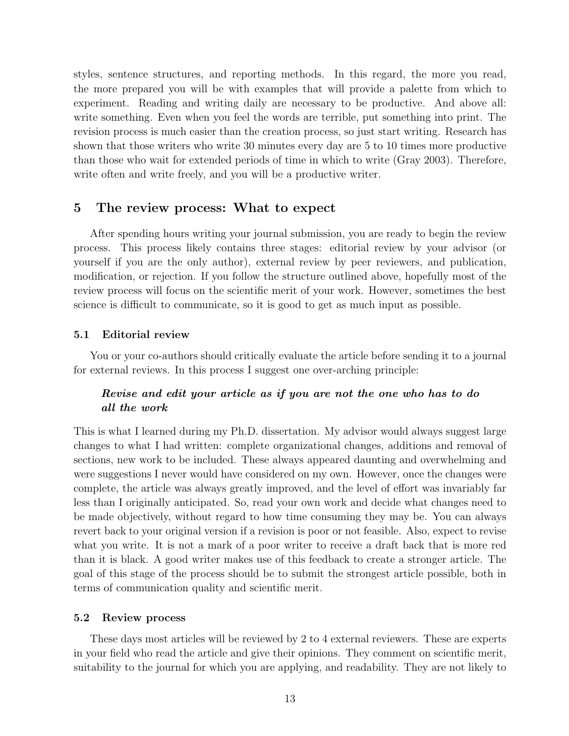styles, sentence structures, and reporting methods. In this regard, the more you read, the more prepared you will be with examples that will provide a palette from which to experiment. Reading and writing daily are necessary to be productive. And above all: write something. Even when you feel the words are terrible, put something into print. The revision process is much easier than the creation process, so just start writing. Research has shown that those writers who write 30 minutes every day are 5 to 10 times more productive than those who wait for extended periods of time in which to write (Gray 2003). Therefore, write often and write freely, and you will be a productive writer.

## 5 The review process: What to expect

After spending hours writing your journal submission, you are ready to begin the review process. This process likely contains three stages: editorial review by your advisor (or yourself if you are the only author), external review by peer reviewers, and publication, modification, or rejection. If you follow the structure outlined above, hopefully most of the review process will focus on the scientific merit of your work. However, sometimes the best science is difficult to communicate, so it is good to get as much input as possible.

#### 5.1 Editorial review

You or your co-authors should critically evaluate the article before sending it to a journal for external reviews. In this process I suggest one over-arching principle:

## Revise and edit your article as if you are not the one who has to do all the work

This is what I learned during my Ph.D. dissertation. My advisor would always suggest large changes to what I had written: complete organizational changes, additions and removal of sections, new work to be included. These always appeared daunting and overwhelming and were suggestions I never would have considered on my own. However, once the changes were complete, the article was always greatly improved, and the level of effort was invariably far less than I originally anticipated. So, read your own work and decide what changes need to be made objectively, without regard to how time consuming they may be. You can always revert back to your original version if a revision is poor or not feasible. Also, expect to revise what you write. It is not a mark of a poor writer to receive a draft back that is more red than it is black. A good writer makes use of this feedback to create a stronger article. The goal of this stage of the process should be to submit the strongest article possible, both in terms of communication quality and scientific merit.

#### 5.2 Review process

These days most articles will be reviewed by 2 to 4 external reviewers. These are experts in your field who read the article and give their opinions. They comment on scientific merit, suitability to the journal for which you are applying, and readability. They are not likely to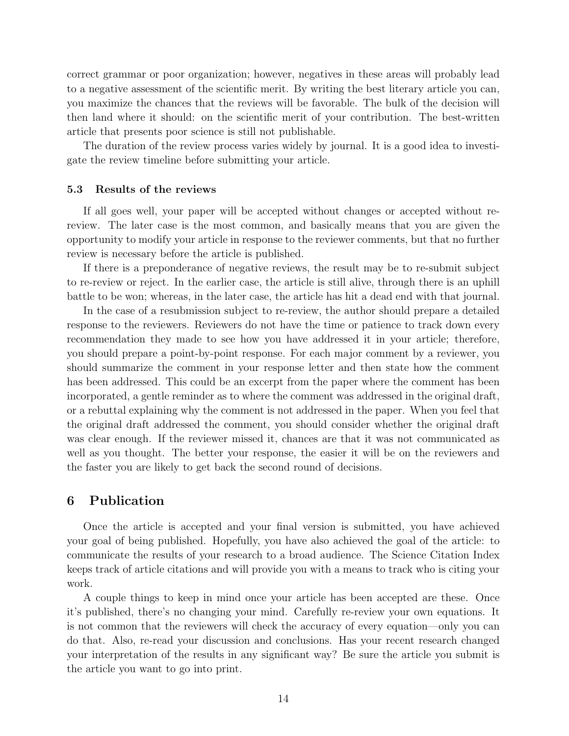correct grammar or poor organization; however, negatives in these areas will probably lead to a negative assessment of the scientific merit. By writing the best literary article you can, you maximize the chances that the reviews will be favorable. The bulk of the decision will then land where it should: on the scientific merit of your contribution. The best-written article that presents poor science is still not publishable.

The duration of the review process varies widely by journal. It is a good idea to investigate the review timeline before submitting your article.

#### 5.3 Results of the reviews

If all goes well, your paper will be accepted without changes or accepted without rereview. The later case is the most common, and basically means that you are given the opportunity to modify your article in response to the reviewer comments, but that no further review is necessary before the article is published.

If there is a preponderance of negative reviews, the result may be to re-submit subject to re-review or reject. In the earlier case, the article is still alive, through there is an uphill battle to be won; whereas, in the later case, the article has hit a dead end with that journal.

In the case of a resubmission subject to re-review, the author should prepare a detailed response to the reviewers. Reviewers do not have the time or patience to track down every recommendation they made to see how you have addressed it in your article; therefore, you should prepare a point-by-point response. For each major comment by a reviewer, you should summarize the comment in your response letter and then state how the comment has been addressed. This could be an excerpt from the paper where the comment has been incorporated, a gentle reminder as to where the comment was addressed in the original draft, or a rebuttal explaining why the comment is not addressed in the paper. When you feel that the original draft addressed the comment, you should consider whether the original draft was clear enough. If the reviewer missed it, chances are that it was not communicated as well as you thought. The better your response, the easier it will be on the reviewers and the faster you are likely to get back the second round of decisions.

### 6 Publication

Once the article is accepted and your final version is submitted, you have achieved your goal of being published. Hopefully, you have also achieved the goal of the article: to communicate the results of your research to a broad audience. The Science Citation Index keeps track of article citations and will provide you with a means to track who is citing your work.

A couple things to keep in mind once your article has been accepted are these. Once it's published, there's no changing your mind. Carefully re-review your own equations. It is not common that the reviewers will check the accuracy of every equation—only you can do that. Also, re-read your discussion and conclusions. Has your recent research changed your interpretation of the results in any significant way? Be sure the article you submit is the article you want to go into print.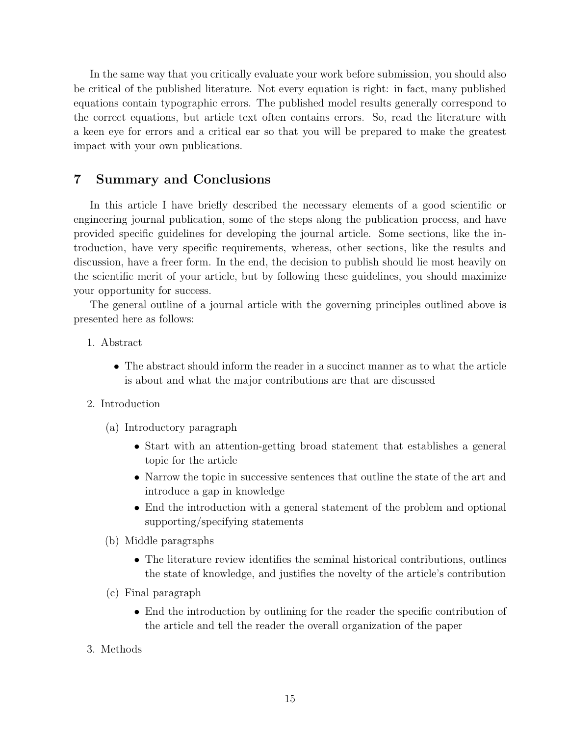In the same way that you critically evaluate your work before submission, you should also be critical of the published literature. Not every equation is right: in fact, many published equations contain typographic errors. The published model results generally correspond to the correct equations, but article text often contains errors. So, read the literature with a keen eye for errors and a critical ear so that you will be prepared to make the greatest impact with your own publications.

# 7 Summary and Conclusions

In this article I have briefly described the necessary elements of a good scientific or engineering journal publication, some of the steps along the publication process, and have provided specific guidelines for developing the journal article. Some sections, like the introduction, have very specific requirements, whereas, other sections, like the results and discussion, have a freer form. In the end, the decision to publish should lie most heavily on the scientific merit of your article, but by following these guidelines, you should maximize your opportunity for success.

The general outline of a journal article with the governing principles outlined above is presented here as follows:

- 1. Abstract
	- The abstract should inform the reader in a succinct manner as to what the article is about and what the major contributions are that are discussed
- 2. Introduction
	- (a) Introductory paragraph
		- Start with an attention-getting broad statement that establishes a general topic for the article
		- Narrow the topic in successive sentences that outline the state of the art and introduce a gap in knowledge
		- End the introduction with a general statement of the problem and optional supporting/specifying statements
	- (b) Middle paragraphs
		- The literature review identifies the seminal historical contributions, outlines the state of knowledge, and justifies the novelty of the article's contribution
	- (c) Final paragraph
		- End the introduction by outlining for the reader the specific contribution of the article and tell the reader the overall organization of the paper
- 3. Methods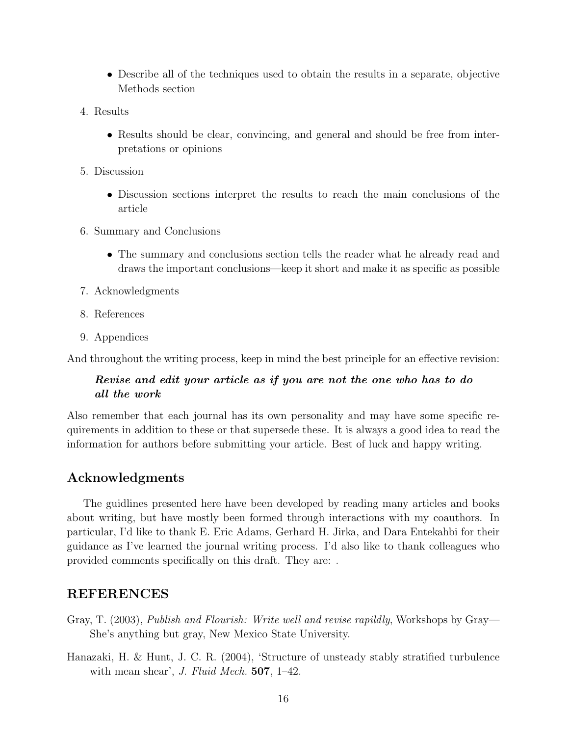- Describe all of the techniques used to obtain the results in a separate, objective Methods section
- 4. Results
	- Results should be clear, convincing, and general and should be free from interpretations or opinions
- 5. Discussion
	- Discussion sections interpret the results to reach the main conclusions of the article
- 6. Summary and Conclusions
	- The summary and conclusions section tells the reader what he already read and draws the important conclusions—keep it short and make it as specific as possible
- 7. Acknowledgments
- 8. References
- 9. Appendices

And throughout the writing process, keep in mind the best principle for an effective revision:

## Revise and edit your article as if you are not the one who has to do all the work

Also remember that each journal has its own personality and may have some specific requirements in addition to these or that supersede these. It is always a good idea to read the information for authors before submitting your article. Best of luck and happy writing.

# Acknowledgments

The guidlines presented here have been developed by reading many articles and books about writing, but have mostly been formed through interactions with my coauthors. In particular, I'd like to thank E. Eric Adams, Gerhard H. Jirka, and Dara Entekahbi for their guidance as I've learned the journal writing process. I'd also like to thank colleagues who provided comments specifically on this draft. They are: .

# REFERENCES

- Gray, T. (2003), Publish and Flourish: Write well and revise rapildly, Workshops by Gray— She's anything but gray, New Mexico State University.
- Hanazaki, H. & Hunt, J. C. R. (2004), 'Structure of unsteady stably stratified turbulence with mean shear', J. Fluid Mech.  $507$ , 1–42.